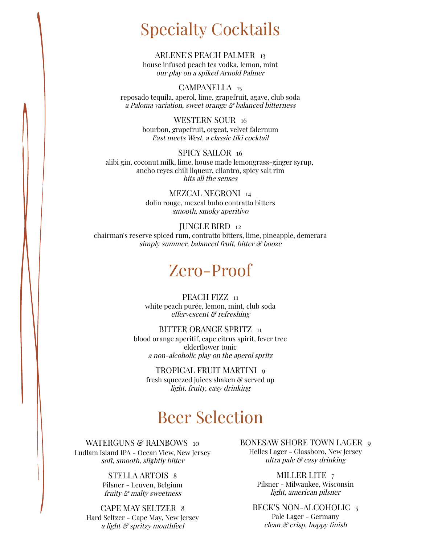## Specialty Cocktails

#### ARLENE'S PEACH PALMER 13 house infused peach tea vodka, lemon, mint our play on <sup>a</sup> spiked Arnold Palmer

CAMPANELLA 15 reposado tequila, aperol, lime, grapefruit, agave, club soda <sup>a</sup> Paloma variation, sweet orange & balanced bitterness

> WESTERN SOUR 16 bourbon, grapefruit, orgeat, velvet falernum East meets West, <sup>a</sup> classic tiki cocktail

SPICY SAILOR 16 alibi gin, coconut milk, lime, house made lemongrass-ginger syrup, ancho reyes chili liqueur, cilantro, spicy salt rim hits all the senses

> MEZCAL NEGRONI 14 dolin rouge, mezcal buho contratto bitters smooth, smoky aperitivo

JUNGLE BIRD 12 chairman's reserve spiced rum, contratto bitters, lime, pineapple, demerara simply summer, balanced fruit, bitter & booze

### Zero-Proof

PEACH FIZZ 11 white peach purée, lemon, mint, club soda effervescent & refreshing

BITTER ORANGE SPRITZ 11 blood orange aperitif, cape citrus spirit, fever tree elderflower tonic <sup>a</sup> non-alcoholic play on the aperol spritz

TROPICAL FRUIT MARTINI 9 fresh squeezed juices shaken & served up light, fruity, easy drinking

## Beer Selection

WATERGUNS & RAINBOWS 10 Ludlam Island IPA - Ocean View, New Jersey soft, smooth, slightly bitter

> STELLA ARTOIS 8 Pilsner - Leuven, Belgium fruity & malty sweetness

CAPE MAY SELTZER 8 Hard Seltzer - Cape May, New Jersey <sup>a</sup> light & spritzy mouthfeel

BONESAW SHORE TOWN LAGER 9 Helles Lager - Glassboro, New Jersey ultra pale  $\mathcal C$  easy drinking

> MILLER LITE<sub>7</sub> Pilsner - Milwaukee, Wisconsin light, american pilsner

BECK'S NON-ALCOHOLIC 5 Pale Lager - Germany clean & crisp, hoppy finish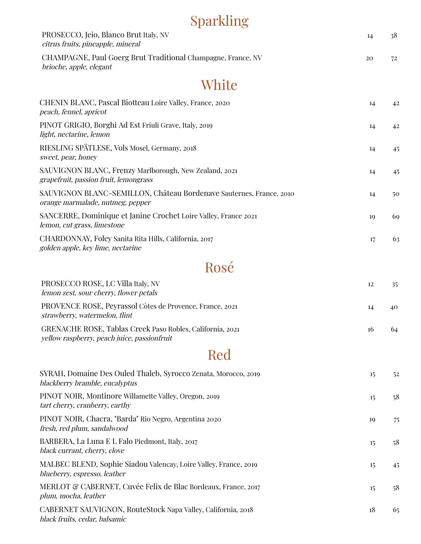## Sparkling

| PROSECCO, Jeio, Blanco Brut Italy, NV<br>citrus fruits, pineapple, mineral                               | 14 | 38 |
|----------------------------------------------------------------------------------------------------------|----|----|
| CHAMPAGNE, Paul Goerg Brut Traditional Champagne, France, NV<br>brioche, apple, elegant                  | 20 | 72 |
| White                                                                                                    |    |    |
| CHENIN BLANC, Pascal Biotteau Loire Valley, France, 2020<br>peach, fennel, apricot                       | 14 | 42 |
| PINOT GRIGIO, Borghi Ad Est Friuli Grave, Italy, 2019<br>light, nectarine, lemon                         | 14 | 42 |
| RIESLING SPÄTLESE, Vols Mosel, Germany, 2018<br>sweet, pear, honey                                       | 14 | 45 |
| SAUVIGNON BLANC, Frenzy Marlborough, New Zealand, 2021<br>grapefruit, passion fruit, lemongrass          | 14 | 45 |
| SAUVIGNON BLANC-SEMILLON, Château Bordenave Sauternes, France, 2010<br>orange marmalade, nutmeg, pepper  | 14 | 50 |
| SANCERRE, Dominique et Janine Crochet Loire Valley, France 2021<br>lemon, cut grass, limestone           | 19 | 69 |
| CHARDONNAY, Foley Sanita Rita Hills, California, 2017<br>golden apple, key lime, nectarine               | 17 | 63 |
| Rosé                                                                                                     |    |    |
| PROSECCO ROSE, LC Villa Italy, NV<br>lemon zest, sour cherry, flower petals                              | 12 | 35 |
| PROVENCE ROSE, Peyrassol Còtes de Provence, France, 2021<br>strawberry, watermelon, flint                | 14 | 40 |
| GRENACHE ROSE, Tablas Creek Paso Robles, California, 2021<br>yellow raspberry, peach juice, passionfruit | 16 | 64 |

## Red

| SYRAH, Domaine Des Ouled Thaleb, Syrocco Zenata, Morocco, 2019<br>blackberry bramble, eucalyptus | 15 | 52 |
|--------------------------------------------------------------------------------------------------|----|----|
| PINOT NOIR, Montinore Willamette Valley, Oregon, 2019<br>tart cherry, cranberry, earthy          | 15 | 58 |
| PINOT NOIR, Chacra, "Barda" Rio Negro, Argentina 2020<br>fresh, red plum, sandalwood             | 10 | 75 |
| BARBERA, La Luna E L Falo Piedmont, Italy, 2017<br>black currant, cherry, clove                  | 15 | 58 |
| MALBEC BLEND, Sophie Siadou Valencay, Loire Valley, France, 2019<br>blueberry, espresso, leather | 15 | 45 |
| MERLOT & CABERNET, Cuvée Felix de Blac Bordeaux, France, 2017<br>plum, mocha, leather            | 15 | 58 |
| CABERNET SAUVIGNON, RouteStock Napa Valley, California, 2018<br>black fruits, cedar, balsamic    | 18 | 65 |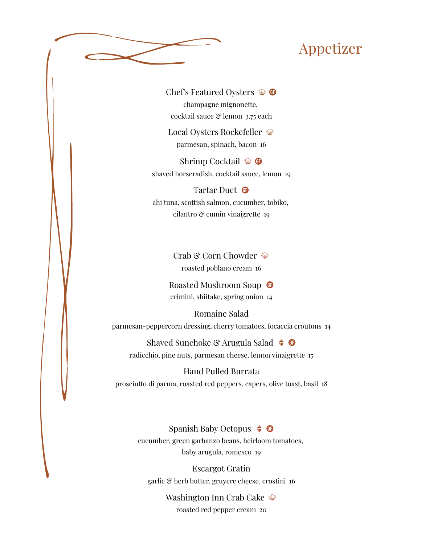### Appetizer



Chef's Featured Oysters  $\mathcal{D}$ champagne mignonette, cocktail sauce & lemon 3.75 each

Local Oysters Rockefeller parmesan, spinach, bacon 16

Shrimp Cocktail  $\mathcal{D}$  **O** shaved horseradish, cocktail sauce, lemon 19

#### Tartar Duet <sup>®</sup> ahi tuna, scottish salmon, cucumber, tobiko, cilantro & cumin vinaigrette 19

Crab & Corn Chowder  $\mathcal{D}$ roasted poblano cream 16

Roasted Mushroom Soup <sup>o</sup> crimini, shiitake, spring onion 14

Romaine Salad parmesan-peppercorn dressing, cherry tomatoes, focaccia croutons 14

Shaved Sunchoke & Arugula Salad  $\bullet$   $\bullet$ radicchio, pine nuts, parmesan cheese, lemon vinaigrette 15

Hand Pulled Burrata prosciutto di parma, roasted red peppers, capers, olive toast, basil 18

> Spanish Baby Octopus  $\bullet$   $\bullet$ cucumber, green garbanzo beans, heirloom tomatoes, baby arugula, romesco 19

Escargot Gratin garlic & herb butter, gruyere cheese, crostini 16

> Washington Inn Crab Cake roasted red pepper cream 20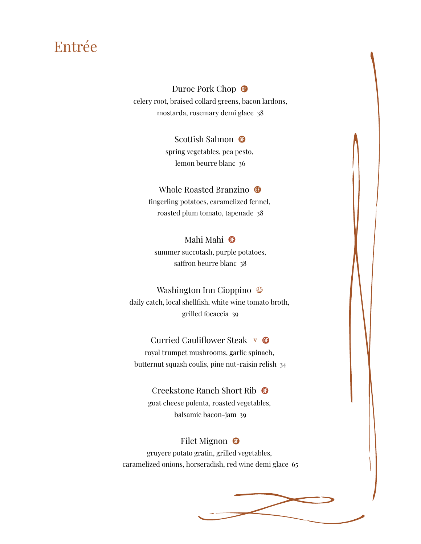### Entrée

#### Duroc Pork Chop <sup>o</sup>

celery root, braised collard greens, bacon lardons, mostarda, rosemary demi glace 38

#### Scottish Salmon <sup>o</sup>

spring vegetables, pea pesto, lemon beurre blanc 36

### Whole Roasted Branzino <sup>®</sup>

fingerling potatoes, caramelized fennel, roasted plum tomato, tapenade 38

#### Mahi Mahi **O** summer succotash, purple potatoes, saffron beurre blanc 38

#### Washington Inn Cioppino  $\mathcal{D}$

daily catch, local shellfish, white wine tomato broth, grilled focaccia 39

#### Curried Cauliflower Steak v G

royal trumpet mushrooms, garlic spinach, butternut squash coulis, pine nut-raisin relish 34

#### Creekstone Ranch Short Rib

goat cheese polenta, roasted vegetables, balsamic bacon-jam 39

#### Filet Mignon  $\bullet$

gruyere potato gratin, grilled vegetables, caramelized onions, horseradish, red wine demi glace 65